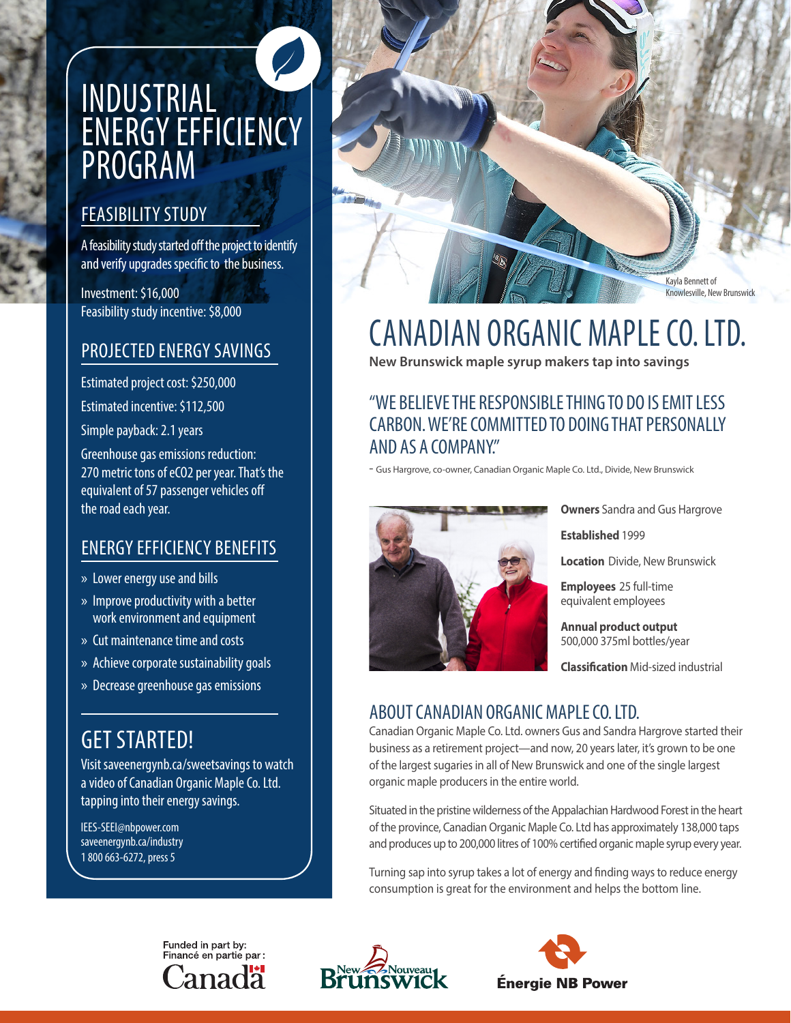# INDUSTRIAL ENERGY EFFICIENCY PROGRAM

## FEASIBILITY STUDY

A feasibility study started off the project to identify and verify upgrades specific to the business.

Investment: \$16,000 Feasibility study incentive: \$8,000

## PROJECTED ENERGY SAVINGS

Estimated project cost: \$250,000

Estimated incentive: \$112,500

Simple payback: 2.1 years

Greenhouse gas emissions reduction: 270 metric tons of eCO2 per year. That's the equivalent of 57 passenger vehicles off the road each year.

## ENERGY EFFICIENCY BENEFITS

- » Lower energy use and bills
- » Improve productivity with a better work environment and equipment
- » Cut maintenance time and costs
- » Achieve corporate sustainability goals
- » Decrease greenhouse gas emissions

# GET STARTED!

Visit saveenergynb.ca/sweetsavings to watch a video of Canadian Organic Maple Co. Ltd. tapping into their energy savings.

IEES-SEEI@nbpower.com saveenergynb.ca/industry 1 800 663-6272, press 5



# CANADIAN ORGANIC MAPLE CO. LTD.

**New Brunswick maple syrup makers tap into savings**

### "WE BELIEVE THE RESPONSIBLE THING TO DO IS EMIT LESS CARBON. WE'RE COMMITTED TO DOING THAT PERSONALLY AND AS A COMPANY."

- Gus Hargrove, co-owner, Canadian Organic Maple Co. Ltd., Divide, New Brunswick



**Owners** Sandra and Gus Hargrove

**Established** 1999

**Location** Divide, New Brunswick

**Employees** 25 full-time equivalent employees

**Annual product output** 500,000 375ml bottles/year

**Classification** Mid-sized industrial

# ABOUT CANADIAN ORGANIC MAPLE CO. LTD.

Canadian Organic Maple Co. Ltd. owners Gus and Sandra Hargrove started their business as a retirement project—and now, 20 years later, it's grown to be one of the largest sugaries in all of New Brunswick and one of the single largest organic maple producers in the entire world.

Situated in the pristine wilderness of the Appalachian Hardwood Forest in the heart of the province, Canadian Organic Maple Co. Ltd has approximately 138,000 taps and produces up to 200,000 litres of 100% certified organic maple syrup every year.

Turning sap into syrup takes a lot of energy and finding ways to reduce energy consumption is great for the environment and helps the bottom line.